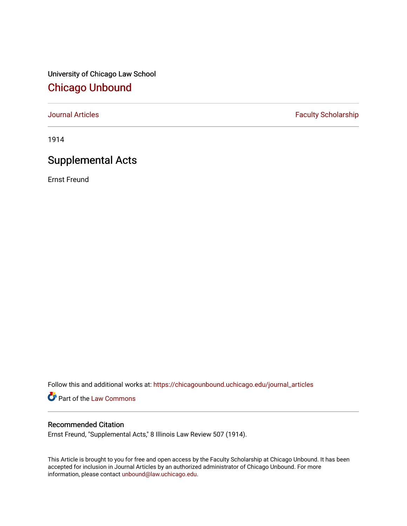University of Chicago Law School [Chicago Unbound](https://chicagounbound.uchicago.edu/)

[Journal Articles](https://chicagounbound.uchicago.edu/journal_articles) **Faculty Scholarship Faculty Scholarship** 

1914

# Supplemental Acts

Ernst Freund

Follow this and additional works at: [https://chicagounbound.uchicago.edu/journal\\_articles](https://chicagounbound.uchicago.edu/journal_articles?utm_source=chicagounbound.uchicago.edu%2Fjournal_articles%2F7842&utm_medium=PDF&utm_campaign=PDFCoverPages) 

Part of the [Law Commons](http://network.bepress.com/hgg/discipline/578?utm_source=chicagounbound.uchicago.edu%2Fjournal_articles%2F7842&utm_medium=PDF&utm_campaign=PDFCoverPages)

### Recommended Citation

Ernst Freund, "Supplemental Acts," 8 Illinois Law Review 507 (1914).

This Article is brought to you for free and open access by the Faculty Scholarship at Chicago Unbound. It has been accepted for inclusion in Journal Articles by an authorized administrator of Chicago Unbound. For more information, please contact [unbound@law.uchicago.edu](mailto:unbound@law.uchicago.edu).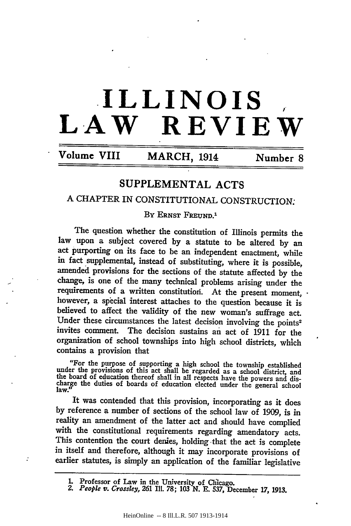# **ILLINOIS** *,* **LAW REVIEW**

**Volume VIII** MARCH, 1914 Number 8

# SUPPLEMENTAL ACTS

## A CHAPTER IN CONSTITUTIONAL CONSTRUCTION:

BY ERNST FREUND.<sup>1</sup>

The question whether the constitution of Illinois permits the law upon a subject covered by a statute to be altered by an act purporting on its face to be an independent enactment, while in fact supplemental, instead of substituting, where it is possible, amended provisions for the sections of the statute affected by the change, is one of the many technical problems arising under the requirements of a written constitutiori. At the present moment, however, a special interest attaches to the question because it is believed to affect the validity of the new woman's suffrage act. Under these circumstances the latest decision involving the points2 invites comment. The decision sustains an act of 1911 for the organization of school townships into high school districts, which contains a provision that

"For the purpose of supporting a high school the township established under the provisions of this act shall be regarded as a school district, and the board of education thereof shall in all respects have the powers and d

It was contended that this provision, incorporating as it does by reference a number of sections of the school law of 1909, is in with the constitutional requirements regarding amendatory acts. This contention the court denies, holding that the act is complete in itself and therefore, although it may incorporate provisions of earlier statutes, is simply an application of the familiar legislative

L Professor of Law in the University of Chicago. *2. People v. Crossley,* **261** IlL **78; 103 N. E. 537,** December **17, 1913.**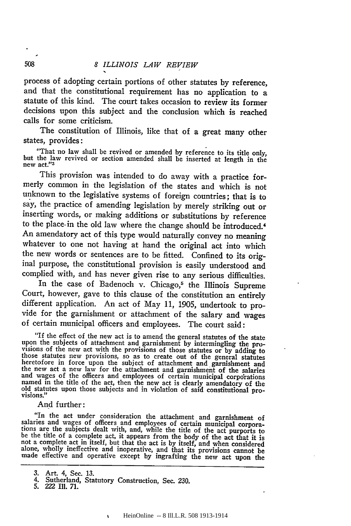process of adopting certain portions of other statutes by reference, and that the constitutional requirement has no application to a statute of this kind. The court takes occasion to review its former decisions upon this subject and the conclusion which is reached calls for some criticism.

The constitution of Illinois, like that of a great many other states, provides:

"That no law shall be revived or amended by reference to its title only, but the law revived or section amended shall be inserted at length in the new act."<sup>3</sup>

This provision was intended to do away with a practice formerly common in the legislation of the states and which is not unknown to the legislative systems of foreign countries; that is to say, the practice of amending legislation by merely striking out or inserting words, or making additions or substitutions by reference to the place. in the old law where the change should be introduced.' An amendatory act of this type would naturally convey no meaning whatever to one not having at hand the original act into which the new words or sentences are to be fitted. Confined to its original purpose, the constitutional provision is easily understood and complied with, and has never given rise to any serious difficulties.

In the case of Badenoch v. Chicago,<sup>5</sup> the Illinois Supreme Court, however, gave to this clause of the constitution an entirely different application. An act of May 11, 1905, undertook to provide for the garnishment or attachment of the salary and wages of certain municipal officers and employees. The court said:

"If the effect of the new act is to amend the general statutes of the state If the subjects of attachment and garnishment by intermingling the pro-<br>upon the subjects of attachment and garnishment by intermingling the pro-<br>visions of the new act with the provisions of those statutes or by adding to

And further:

"In the act under consideration the attachment and garnishment of salaries and wages of officers and employees of certain municipal corporations are the subjects dealt with, and, while the title of the act purports to be t alone, wholly ineffective and inoperative, and that its provisions cannot be made effective and operative except by ingrafting the new act upon the

508

<sup>3.</sup> Art. 4, Sec. 13. 4. Sutherland, Statutory Construction, Sec. 230.

<sup>5. 222</sup> Ill. 71.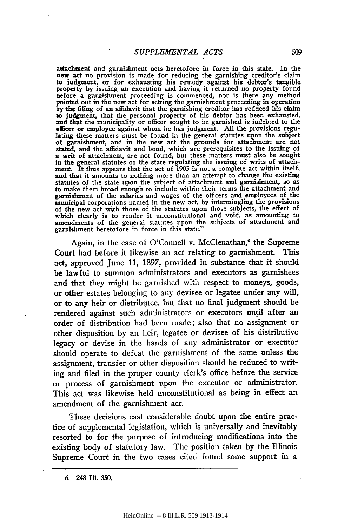attachment and garnishment acts heretofore in force in this state. In the new act no provision is made for reducing the garnishing creditor's claim to judgment, or for exhausting his remedy against his debtor's tangible property **by** issuing an execution and having it returned no property found nefore a garnishment proceeding is commenced, nor is there any method pointed out in the new act for setting the garnishment proceeding in operation **by** the filing of an affidavit that the garnishing creditor has reduced his claim **to** judgment, that the personal property of his debtor has been exhausted, and that the municipality or officer sought to be garnished is indebted to the officer or employee against whom he has judgment. **All** the provisions regulating these matters must be found in the general statutes upon the subject of garnishment, and in the new act the grounds for attachment are not stated, and the affidavit and bond, which are prerequisites to the issuing of a writ of attachment, are not found, but these matters must also be sought in the general statutes of the state regulating the issuing of writs of attachment. It thus appears that the act of 1905 is not a complete act within itself, and that it amounts to nothing more than an attempt to change the existing statutes of the state upon the subject of attachment and garnishment, so as to make them broad enough to include within their terms the attachment and garnishment of the salaries and wages of the officers and employees of the municipal corporations named in the new act, by intermingling the provisions of the new act with those of the statutes upon those subjects, the effect of which clearly is to render it unconstitutional and void, as amounting to amendments of the general statutes upon the subjects of attachment and garnishment heretofore in force in this state."

Again, in the case of O'Connell v. McClenathan,<sup>6</sup> the Supreme Court had before it likewise an act relating to garnishment. This act, approved June 11, 1897, provided in substance that it should be lawful to summon administrators and executors as garnishees and that they might be garnished with respect to moneys, goods, or other estates belonging to any devisee or legatee under any will, or to any heir or distributee, but that no final judgment should be rendered against such administrators or executors until after an order of distribution had been made; also that no assignment or other disposition **by** an heir, legatee or devisee of his distributive legacy or devise in the hands of any administrator or executor should operate to defeat the garnishment of the same unless the assignment, transfer or other disposition should be reduced to writing and filed in the proper county clerk's office before the service or process of garnishment upon the executor or administrator. This act was likewise held unconstitutional as being in effect an amendment of the garnishment act.

These decisions cast considerable doubt upon the entire practice of supplemental legislation, which is universally and inevitably resorted to for the purpose of introducing modifications into the existing body of statutory law. The position taken **by** the Illinois Supreme Court in the two cases cited found some support in a

**<sup>6.</sup>** 248 Ill. 350.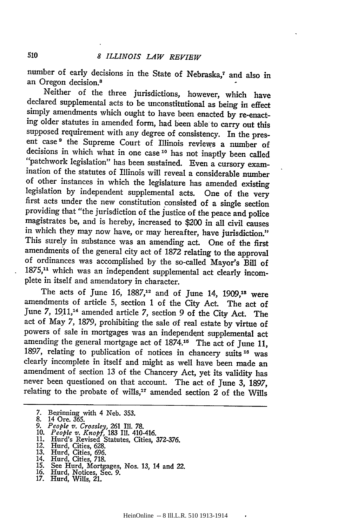number of early decisions in the State of Nebraska,7 and also in an Oregon decision.8

Neither of the three jurisdictions, however, which have declared supplemental acts to be unconstitutional as being in effect simply amendments which ought to have been enacted by re-enacting older statutes in amended form, had been able to carry out this supposed requirement with any degree of consistency. In the pres- ent case **9** the Supreme Court of Illinois reviews a number of decisions in which what in one case **1 <sup>0</sup>**has not inaptly been called "patchwork legislation" has been sustained. Even a cursory examination of the statutes of Illinois will reveal a considerable number of other instances in which the legislature has amended existing legislation by independent supplemental acts. One of the very first acts under the new constitution consisted of a single section providing that "the jurisdiction of the justice of the peace and police magistrates be, and is hereby, increased to \$200 in all civil causes in which they may now have, or may hereafter, have jurisdiction." This surely in substance was an amending act. One of the first amendments of the general city act of 1872 relating to the approval of ordinances was accomplished by the so-called Mayor's Bill of 1875,<sup>11</sup> which was an independent supplemental act clearly incomplete in itself and amendatory in character.

The acts of June 16,  $1887<sup>12</sup>$  and of June 14,  $1909<sup>13</sup>$  were amendments of article 5, section 1 of the City Act. The act of June 7, 1911,'4 amended article 7, section 9 of the City Act. The act of May 7, 1879, prohibiting the sale of real estate by virtue of powers of sale in mortgages was an independent supplemental act amending the general mortgage act of 1874.15 The act of June 11, 1897, relating to publication of notices in chancery suits **16** was clearly incomplete in itself and might as well have been made an amendment of section 13 of the Chancery Act, yet its validity has never been questioned on that account. The act of June 3, 1897, relating to the probate of wills,<sup>17</sup> amended section 2 of the Wills

- 
- 

12. Hurd, Cities, 628.

- 14. Hurd, Cities, 718.<br>15. See Hurd, Mortgages, Nos. 13, 14 and 22.<br>16. Hurd, Notices, Sec. 9.<br>17. Hurd, Wills, 21.
- 
- 

<sup>7.</sup> Beginning with 4 Neb. 353. 8. 14 Ore. 365.

*<sup>9.</sup> People v. Crossley, 261* Ill. 78. 10. *People v. Knopf,* 183 Ill. 410-416. 11. Hurd's Revised Statutes, Cities, 372-376.

<sup>13.</sup> Hurd, Cities, 696.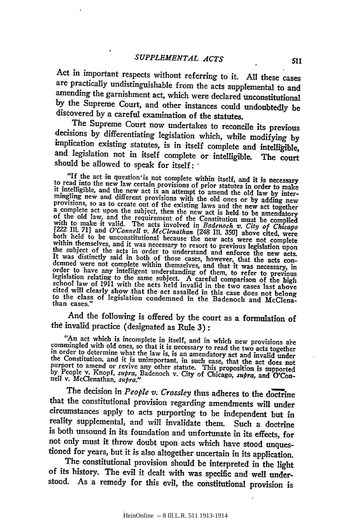Act in important respects without referring to it. All these cases are practically undistinguishable from the acts supplemental to and amending the garnishment act, which were declared unconstitutional **by** the Supreme Court, and other instances could undoubtedly be discovered by a careful examination of the statutes.

decisions by differentiating legislation which, while modifying by implication existing statutes, is in itself complete and intelligible, and legislation not in itself complete or intelligible. The court should be allowed to speak for itself: **'**

"If the act in question'is not complete within itself, and it is necessary to read into the new law certain provisions of prior statutes in order to make it intelligible, and the new act is an attempt to amend the old law is in order to make<br>it intelligible, and the new act is an attempt to amend the old law by inter-<br>mingling new and different provisions with the old ones or by adding new<br>provisions, so as to create out of the existing law with a complete act upon the subject, then the new act is held to be amendatory<br>of the old law, and the requirement of the Constitution must be complied<br>with to make it valid. The acts involved in *Badenoch v. City of Chicago*<br> demned were not complete within themselvess, nowever, that the acts con-<br>demned were not complete within themselves, and that it was necessary, in<br>order to have any intelligent understanding of them, to refer to previous<br>l

And the following is offered **by** the court as a formulation of thd invalid practice (designated as Rule 3) **:**

"An act which is incomplete in itself, and in which new provisions are<br>commingled with old ones, so that it is necessary to read the two acts together<br>in order to determine what the law is, is an amendatory act and invali

The decision in *People v. Crossley* thus adheres to the doctrine<br>that the constitutional provision regarding amendments will under<br>circumstances apply to acts purporting to be independent but in<br>reality supplemental, and

tioned for years, but it is also altogether uncertain in its application.<br>The constitutional provision should be interpreted in the light<br>of its history. The evil it dealt with was specific and well under-<br>stood. As a reme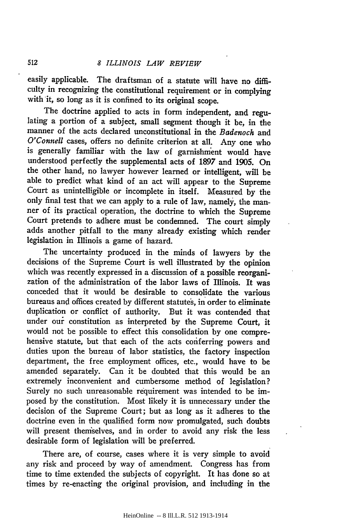easily applicable. The draftsman of a statute will have no difficulty in recognizing the constitutional requirement or in complying with it, so long as it is confined to its original scope.

The doctrine applied to acts in form independent, and regulating a portion of a subject, small segment though it be, in the manner of the acts declared unconstitutional in the *Badenoch* and *O'Connell* cases, offers no definite criterion at all. Any one who is generally familiar with the law of garnishment would have understood perfectly the supplemental acts of 1897 and 1905. On the other hand, no lawyer however learned or intelligent, will be able to predict what kind of an act will appear to the Supreme Court as unintelligible or incomplete in itself. Measured by the only final test that we can apply to a rule of law, namely, the manner of its practical operation, the doctrine to which the Supreme Court pretends to adhere must be condemned. The court simply adds another pitfall to the many already existing which render legislation in Illinois a game of hazard.

The uncertainty produced in the minds of lawyers by the decisions of the Supreme Court is well illustrated by the opinion which was recently expressed in a discussion of a possible reorganization of the administration of the labor laws of Illinois. It was conceded that it would be desirable to consolidate the various bureaus and offices created by different statutes, in order to eliminate duplication or conflict of authority. But it was contended that under our constitution as interpreted by the Supreme Court, it would not be possible to effect this consolidation by one comprehensive statute, but that each of the acts conferring powers and duties upon the bureau of labor statistics, the factory inspection department, the free employment offices, etc., would have to be amended separately. Can it be doubted that this would be an extremely inconvenient and cumbersome method of legislation? Surely no such unreasonable requirement was intended to be imposed by the constitution. Most likely it is unnecessary under the decision of the Supreme Court; but as long as it adheres to the doctrine even in the qualified form now promulgated, such doubts will present themselves, and in order to avoid any risk the less desirable form of legislation will be preferred.

There are, of course, cases where it is very simple to avoid any risk and proceed by way of amendment. Congress has from time to time extended the subjects of copyright. It has done so at times by re-enacting the original provision, and including in the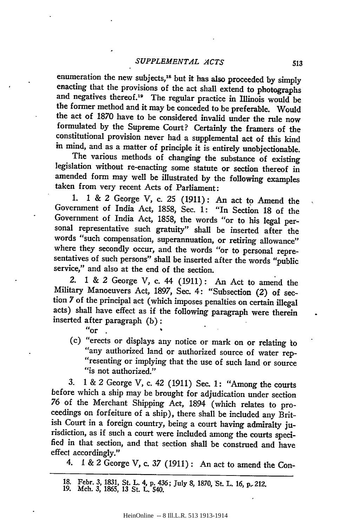enumeration the new subjects,<sup>18</sup> but it has also proceeded by simply enacting that the provisions of the act shall extend to photographs and negatives thereof.<sup>19</sup> The regular practice in Illinois would be the former method and it may be conceded to be preferable. Would the act of **1870** have to be considered invalid under the rule now formulated **by** the Supreme Court? Certainly the framers of the constitutional provision never had a supplemental act of this kind in mind, and as a matter of principle it is entirely unobjectionable.

The various methods of changing the substance of existing legislation without re-enacting some statute or section thereof in amended form may well be illustrated **by** the following examples taken from very recent Acts of Parliament:

**1.** 1 **&** 2 George V, c. **25 (1911): An** act to Amend the Government of India Act, **1858,** Sec. **1:** "In Section **18** of the Government of India Act, **1858,** the words "or to his legal per- sonal representative such gratuity" shall be inserted after the words "such compensation, superannuation, or retiring allowance" where they secondly occur, and the words "or to personal repre-<br>sentatives of such persons" shall be inserted after the words "public service," and also at the end of the section.

2. 1 & *2* George V, c. 44 (1911): An Act to amend the Military Manoeuvers Act, 1897, Sec. 4: "Subsection (2) of section **7** of the principal act (which imposes penalties on certain illegal acts) shall have effect as if the following paragraph were therein inserted after paragraph (b): *"or*

(c) "erects or displays any notice or mark on or relating to "any authorized land or authorized source of water rep- "resenting or implying that the use of such land or source "is not authorized."

**3.** 1 & 2 George V, c. 42 (1911) Sec. **1:** "Among the courts before which a ship may be brought for adjudication under section 76 of the Merchant Shipping Act, 1894 (which relates to proreedings on forfeiture of a ship), there shall be included any Brit-<br>ish Court in a foreign country, being a court having admiralty jurisdiction, as if such a court were included among the courts speci-<br>fied in that section, and that section shall be construed and have effect accordingly."

4. **1 &** 2 George *V,* c. **37** (1911): An act to amend the Con-

**<sup>18.</sup>** Febr. **3, 1831,** St. L. 4, **p.** 436; July **8, 1870,** St. L. **16,** *p..* **212. 19.** Mch. 3, 1865, **13** St. **L.** 540.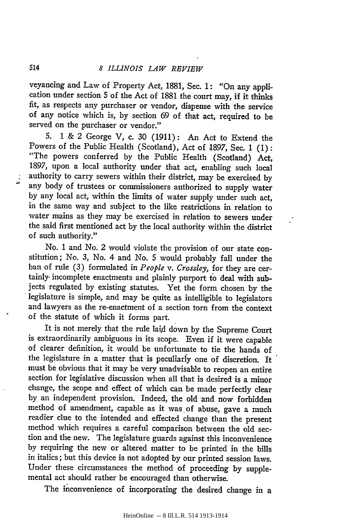veyancing and Law of Property Act, 1881, Sec. 1: "On any application under section **5** of the Act of 1881 the court may, if it thinks fit, as respects any purchaser or vendor, dispense with the service of any notice which is, **by** section 69 of that act, required to be served on the purchaser or vendor."

**5.** 1 & 2 George V, c. 30 (1911): An Act to Extend the Powers of the Public Health (Scotland), Act of 1897, Sec. 1 (1): "The powers conferred **by** the Public Health (Scotland) Act, 1897, upon a local authority under that act, enabling such local authority to carry sewers within their district, may be exercised **by** any body of trustees or commissioners authorized to supply water **by** any local act, within the limits of water supply under such act, in the same way and subject to the like restrictions in relation to water mains as they may be exercised in relation to sewers under the said first mentioned act **by** the local authority within the district of such authority."

No. **I** and No. *2* would violate the provision of our state constitution; No. 3, No. 4 and No. 5 would probably fall under the ban of rule (3) formulated in *People v. Crossley,* for they are certainly- incomplete enactments and plainly purport to deal with subjects regulated by existing statutes. Yet the form chosen by the legislature is simple, and may be quite as intelligible to legislators and lawyers as the re-enactment of a section torn from the context of the statute of which it forms part.

It is not merely that the rule laid down by the Supreme Court is extraordinarily ambiguous in its scope. Even if it were capable of clearer definition, it would be unfortunate to tie the hands of the legislature in a matter that is peculiarly one of discretion. It must be obvious that it may be very unadvisable to reopen an entire section for legislative discussion when all that is desired is a minor change, the scope and effect of which can be made perfectly clear by an independent provision. Indeed, the old 'and now forbidden method of amendment, capable as it was of abuse, gave a much readier clue to the intended and effected change than the present method which requires a careful comparison between the old section and the new. The legislature guards against this inconvenience **by** requiring the new or altered matter to be printed in the bills in italics; but this device is not adopted **by** our printed session laws. Under these circumstances the method of proceeding **by** supplemental act should rather be encouraged than otherwise.

The inconvenience of incorporating the desired change in a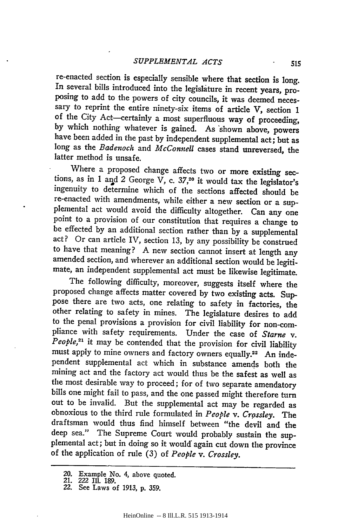re-enacted section is especially sensible where that section is long. In several bills introduced into the legislature in recent years, proposing to add to the powers of city councils, it was deemed necessary to reprint the entire ninety-six items of article V, section 1 of the City Act-certainly a most superfluous way of proceeding, by which nothing whatever is gained. As 'shown above, powers have been added in the past by independent supplemental act; but as long as the *Badenoch* and *McConnell* cases stand unreversed, the latter method is unsafe.

Where a proposed change affects two or more existing sections, as in 1 and 2 George  $\overline{V}$ , c. 37,<sup>20</sup> it would tax the legislator's ingenuity to determine which of the sections affected should be re-enacted with amendments, while either a new section or a sup-<br>plemental act would avoid the difficulty altogether. Can any one point to a provision of our constitution that requires a change to be effected by an additional section rather than by a supplemental act? Or can article IV, section 13, by any possibility be construed to have that meaning? A new section cannot insert at length any amended section, and wherever an additional section would be legiti- mate, an independent supplemental act must be likewise legitimate.

The following difficulty, moreover, suggests itself where the proposed change affects matter covered by two existing acts. Suppose there are two acts, one relating to safety in factories, the other relating to safety in mines. The legislature desires to add to the penal provisions a provision for civil liability for non-compliance with safety requirements. Under the case of *Starne v. People,21* it may be contended that the provision for civil liability must apply to mine owners and factory owners equally.<sup>22</sup> An independent supplemental act which in substance amends both the mining act and the factory act would thus be the safest as well as the most desirable way to proceed; for of two separate amendatory bills one might fail to pass, and the one passed might therefore turn out to be invalid. But the supplemental act may be regarded as obnoxious to the third rule formulated in *People v. Crossley.* The draftsman would thus find himself between "the devil and the deep sea." The Supreme Court would probably sustain the sup-<br>plemental act; but in doing so it would again cut down the province<br>of the application of rule (3) of *People v. Crossley*.

**<sup>20.</sup> Example No.** 4, above quoted. **21. 222 II1. 189.**

**<sup>22.</sup> See Laws of 1913, p. 359.**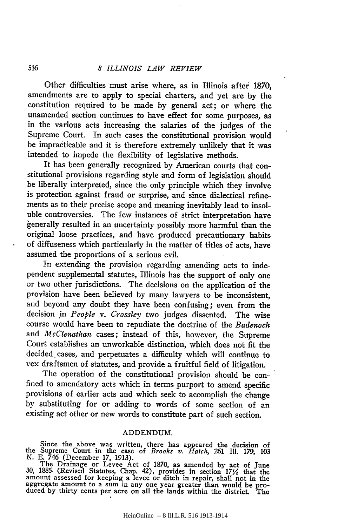### *8 ILLINOIS LAW REVIEW*

Other difficulties must arise where, as in Illinois after 1870, amendments are to apply to special charters, and yet are by the constitution required to be made by general act; or where the unamended section continues to have effect for some purposes, as in the various acts increasing the salaries of the judges of the Supreme Court. In such cases the constitutional provision would be impracticable and it is therefore extremely unlikely that it was intended to impede the flexibility of legislative methods.

It has been generally recognized by American courts that constitutional provisions regarding style and form of legislation should be liberally interpreted, since the only principle which they involve is protection against fraud or surprise, and since dialectical refinements as to their precise scope and meaning inevitably lead to insoluble controversies. The few instances of strict interpretation have kenerally resulted in an uncertainty possibly more harmful than the original loose practices, and have produced precautionary habits of diffuseness which particularly in the matter of titles of acts, have assumed the proportions of a serious evil.

In extending the provision regarding amending acts to independent supplemental statutes, Illinois has the support of only one or two other jurisdictions. The decisions on the application of the provision have been believed by many lawyers to be inconsistent, and beyond any doubt they have been confusing; even from the decision in *People v. Crossley* two judges dissented. The wise course would have been to repudiate the doctrine of the *Badenoch* and *McClenathan* cases; instead of this, however, the Supreme Court establishes an unworkable distinction, which does not fit the decided cases, and perpetuates a difficulty which will continue to vex draftsmen of statutes, and provide a fruitful field of litigation.

The operation of the constitutional provision should be confined to amendatory acts which in terms purport to amend specific provisions of earlier acts and which seek to accomplish the change by substituting for or adding to words of some section of an existing act other or new words to constitute part of such section.

### ADDENDUM.

Since the above was written, there has appeared the decision of the Supreme Court in the case of *Brooks v. Hatch,* 261 Ill. 179, 103

N. E. 746 (December 17, 1913).<br>The Drainage or Levee Act of 1870, as amended by act of June 30, 1885 (Revised Statutes, Chap. 42), provides in section 171/2 that the amount assessed for keeping a levee or ditch in repair, shall not in the aggregate amount to a sum in any one year greater than would be pro- duced by thirty cents per acre on all the lands within the district. The

516